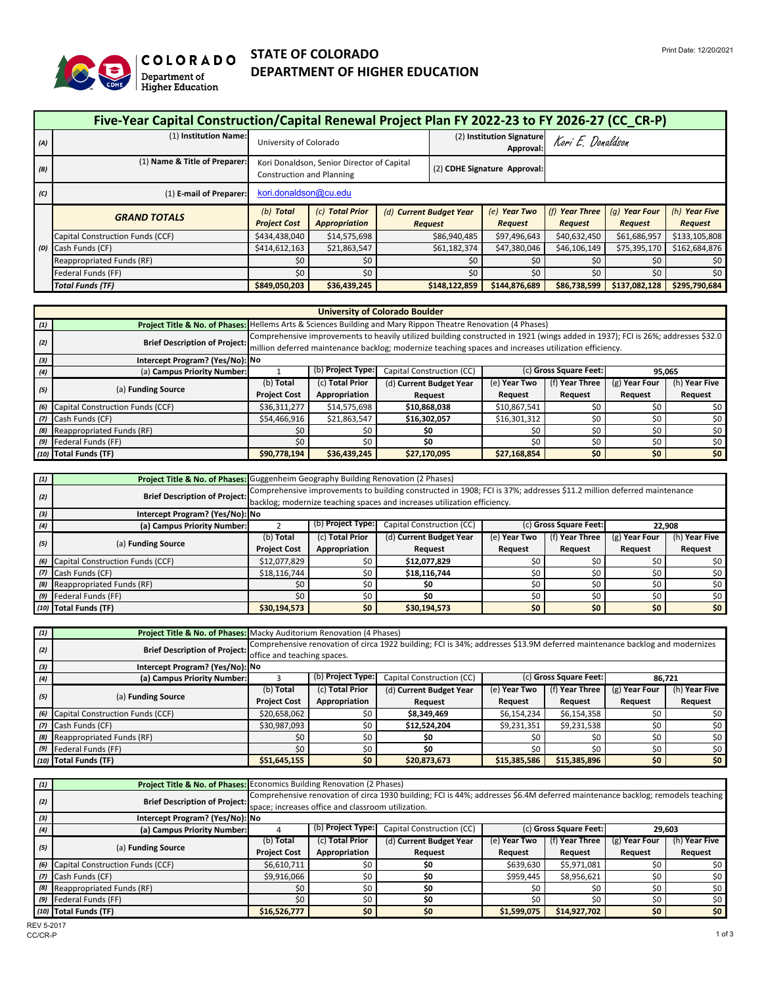

## **COLORADO**<br>
Department of **DEPARTMENT OF HIGHER EDUCATION**<br>
Higher Education **DEPARTMENT OF HIGHER EDUCATION**

|     | Five-Year Capital Construction/Capital Renewal Project Plan FY 2022-23 to FY 2026-27 (CC CR-P) |                                                                                       |                                            |  |                         |                              |                |               |               |
|-----|------------------------------------------------------------------------------------------------|---------------------------------------------------------------------------------------|--------------------------------------------|--|-------------------------|------------------------------|----------------|---------------|---------------|
| (A) | (1) Institution Name:                                                                          | (2) Institution Signature<br>Kori E. Donaldson<br>University of Colorado<br>Approval: |                                            |  |                         |                              |                |               |               |
| (B) | (1) Name & Title of Preparer:                                                                  | <b>Construction and Planning</b>                                                      | Kori Donaldson, Senior Director of Capital |  |                         | (2) CDHE Signature Approval: |                |               |               |
| (C) | (1) E-mail of Preparer:                                                                        |                                                                                       | kori.donaldson@cu.edu                      |  |                         |                              |                |               |               |
|     | <b>GRAND TOTALS</b>                                                                            | (b) Total                                                                             | (c) Total Prior                            |  | (d) Current Budget Year | (e) Year Two                 | (f) Year Three | (g) Year Four | (h) Year Five |
|     |                                                                                                | <b>Project Cost</b>                                                                   | Appropriation                              |  | <b>Request</b>          | <b>Request</b>               | <b>Request</b> | Request       | Request       |
|     | Capital Construction Funds (CCF)                                                               | \$434,438,040                                                                         | \$14,575,698                               |  | \$86,940,485            | \$97,496,643                 | \$40,632,450   | \$61,686,957  | \$133,105,808 |
|     | (D) Cash Funds (CF)                                                                            | \$414,612,163                                                                         | \$21,863,547                               |  | \$61,182,374            | \$47,380,046                 | \$46,106,149   | \$75,395,170  | \$162,684,876 |
|     | Reappropriated Funds (RF)                                                                      | \$0                                                                                   | \$0                                        |  | \$0                     | \$0                          | \$0            | \$0           | \$0           |
|     | Federal Funds (FF)                                                                             | \$0                                                                                   | \$0                                        |  | \$0                     | \$0                          | \$0            | \$0           | \$0           |
|     | <b>Total Funds (TF)</b>                                                                        | \$849,050,203                                                                         | \$36,439,245                               |  | \$148,122,859           | \$144,876,689                | \$86,738,599   | \$137,082,128 | \$295,790,684 |

|                                                                                                       | <b>University of Colorado Boulder</b>                                                                         |                     |                                                                                                                                 |                           |              |                        |               |               |  |
|-------------------------------------------------------------------------------------------------------|---------------------------------------------------------------------------------------------------------------|---------------------|---------------------------------------------------------------------------------------------------------------------------------|---------------------------|--------------|------------------------|---------------|---------------|--|
| (1)                                                                                                   | Project Title & No. of Phases: Hellems Arts & Sciences Building and Mary Rippon Theatre Renovation (4 Phases) |                     |                                                                                                                                 |                           |              |                        |               |               |  |
| (2)                                                                                                   | <b>Brief Description of Project:</b>                                                                          |                     | Comprehensive improvements to heavily utilized building constructed in 1921 (wings added in 1937); FCI is 26%; addresses \$32.0 |                           |              |                        |               |               |  |
| million deferred maintenance backlog; modernize teaching spaces and increases utilization efficiency. |                                                                                                               |                     |                                                                                                                                 |                           |              |                        |               |               |  |
| (3)                                                                                                   | Intercept Program? (Yes/No): No                                                                               |                     |                                                                                                                                 |                           |              |                        |               |               |  |
| (4)                                                                                                   | (a) Campus Priority Number:                                                                                   |                     | (b) Project Type:                                                                                                               | Capital Construction (CC) |              | (c) Gross Square Feet: | 95,065        |               |  |
|                                                                                                       |                                                                                                               | $(b)$ Total         | (c) Total Prior                                                                                                                 | (d) Current Budget Year   | (e) Year Two | (f) Year Three         | (g) Year Four | (h) Year Five |  |
| (5)                                                                                                   | (a) Funding Source                                                                                            | <b>Project Cost</b> | Appropriation                                                                                                                   | <b>Request</b>            | Request      | Request                | Request       | Request       |  |
|                                                                                                       | (6) Capital Construction Funds (CCF)                                                                          | \$36,311,277        | \$14,575,698                                                                                                                    | \$10,868,038              | \$10,867,541 | \$ſ                    | \$0           | \$0           |  |
|                                                                                                       | (7) Cash Funds (CF)                                                                                           | \$54,466,916        | \$21,863,547                                                                                                                    | \$16,302,057              | \$16,301,312 | \$0                    | \$0           | \$0           |  |
|                                                                                                       | (8) Reappropriated Funds (RF)                                                                                 | \$0                 | \$0                                                                                                                             | \$0                       | \$0          | S0                     | \$0           | \$0           |  |
|                                                                                                       | (9) Federal Funds (FF)                                                                                        | \$0                 | \$0<br>\$0<br>\$0<br>\$0<br>\$0<br>S0                                                                                           |                           |              |                        |               |               |  |
|                                                                                                       | (10) Total Funds (TF)                                                                                         | \$90,778,194        | \$36,439,245                                                                                                                    | \$27,170,095              | \$27,168,854 | \$0                    | \$0           | \$0\$         |  |

| (1) | Project Title & No. of Phases: Guggenheim Geography Building Renovation (2 Phases) |                     |                                                                                                                                                                                                   |                         |              |                |                                                                                  |               |  |
|-----|------------------------------------------------------------------------------------|---------------------|---------------------------------------------------------------------------------------------------------------------------------------------------------------------------------------------------|-------------------------|--------------|----------------|----------------------------------------------------------------------------------|---------------|--|
| (2) | <b>Brief Description of Project:</b>                                               |                     | Comprehensive improvements to building constructed in 1908; FCI is 37%; addresses \$11.2 million deferred maintenance<br>backlog; modernize teaching spaces and increases utilization efficiency. |                         |              |                |                                                                                  |               |  |
| (3) | Intercept Program? (Yes/No): No                                                    |                     |                                                                                                                                                                                                   |                         |              |                |                                                                                  |               |  |
| (4) | (a) Campus Priority Number:                                                        |                     | (b) Project Type:<br>(c) Gross Square Feet:<br>Capital Construction (CC)<br>22,908                                                                                                                |                         |              |                |                                                                                  |               |  |
| (5) |                                                                                    | (b) Total           | (c) Total Prior                                                                                                                                                                                   | (d) Current Budget Year | (e) Year Two | (f) Year Three | $(g)$ Year Four<br><b>Request</b><br>\$0<br>S0<br>\$0<br>S0<br>\$0<br>\$0<br>\$0 | (h) Year Five |  |
|     | (a) Funding Source                                                                 | <b>Project Cost</b> | Appropriation                                                                                                                                                                                     | <b>Request</b>          | Request      | Request        |                                                                                  | Request       |  |
|     | (6) Capital Construction Funds (CCF)                                               | \$12,077,829        | \$0                                                                                                                                                                                               | \$12,077,829            | \$0          |                |                                                                                  | \$0           |  |
|     | (7) Cash Funds (CF)                                                                | \$18,116,744        | \$0                                                                                                                                                                                               | \$18,116,744            | \$0          |                |                                                                                  | \$0           |  |
|     | (8) Reappropriated Funds (RF)                                                      | \$0                 | \$0                                                                                                                                                                                               | \$0                     | \$0          |                |                                                                                  | \$0           |  |
|     | (9) Federal Funds (FF)                                                             | \$0                 | \$0                                                                                                                                                                                               | \$0                     | \$0          |                |                                                                                  | \$0           |  |
|     | (10) Total Funds (TF)                                                              | \$30,194,573        | \$0                                                                                                                                                                                               | \$30,194,573            | \$0          | \$0            |                                                                                  | \$0\$         |  |

| (1) |                                      |                     | <b>Project Title &amp; No. of Phases:</b> Macky Auditorium Renovation (4 Phases)                                                                          |                         |              |                |               |               |  |  |
|-----|--------------------------------------|---------------------|-----------------------------------------------------------------------------------------------------------------------------------------------------------|-------------------------|--------------|----------------|---------------|---------------|--|--|
| (2) | <b>Brief Description of Project:</b> |                     | Comprehensive renovation of circa 1922 building; FCI is 34%; addresses \$13.9M deferred maintenance backlog and modernizes<br>office and teaching spaces. |                         |              |                |               |               |  |  |
| (3) | Intercept Program? (Yes/No): No      |                     |                                                                                                                                                           |                         |              |                |               |               |  |  |
| (4) | (a) Campus Priority Number:          |                     | (b) Project Type:<br>(c) Gross Square Feet:<br>Capital Construction (CC)<br>86.721                                                                        |                         |              |                |               |               |  |  |
| (5) |                                      | (b) <b>Total</b>    | (c) Total Prior                                                                                                                                           | (d) Current Budget Year | (e) Year Two | (f) Year Three | (g) Year Four | (h) Year Five |  |  |
|     | (a) Funding Source                   | <b>Project Cost</b> | Appropriation                                                                                                                                             | <b>Request</b>          | Request      | Request        | Request       | Request       |  |  |
|     |                                      |                     |                                                                                                                                                           |                         |              |                |               |               |  |  |
|     | (6) Capital Construction Funds (CCF) | \$20,658,062        | \$0 <sub>1</sub>                                                                                                                                          | \$8,349,469             | \$6,154,234  | \$6,154,358    | \$0           | \$0           |  |  |
|     | (7) Cash Funds (CF)                  | \$30,987,093        | \$0                                                                                                                                                       | \$12,524,204            | \$9,231,351  | \$9,231,538    | \$0           | \$0           |  |  |
|     | (8) Reappropriated Funds (RF)        | \$0                 | \$0                                                                                                                                                       | \$0                     | \$0          | \$0            | \$0           | \$0           |  |  |
|     | (9) Federal Funds (FF)               | \$0                 | \$0                                                                                                                                                       | \$0                     | \$0          | \$0            | \$0           | \$0           |  |  |

| (1) | <b>Project Title &amp; No. of Phases: Economics Building Renovation (2 Phases)</b> |                                 |                                                    |                                                                                                                               |              |                        |                 |                  |  |  |
|-----|------------------------------------------------------------------------------------|---------------------------------|----------------------------------------------------|-------------------------------------------------------------------------------------------------------------------------------|--------------|------------------------|-----------------|------------------|--|--|
| (2) | <b>Brief Description of Project:</b>                                               |                                 |                                                    | Comprehensive renovation of circa 1930 building; FCI is 44%; addresses \$6.4M deferred maintenance backlog; remodels teaching |              |                        |                 |                  |  |  |
|     |                                                                                    |                                 | space; increases office and classroom utilization. |                                                                                                                               |              |                        |                 |                  |  |  |
| (3) |                                                                                    | Intercept Program? (Yes/No): No |                                                    |                                                                                                                               |              |                        |                 |                  |  |  |
| (4) | (a) Campus Priority Number:                                                        |                                 | (b) Project Type:                                  | Capital Construction (CC)                                                                                                     |              | (c) Gross Square Feet: | 29,603          |                  |  |  |
|     |                                                                                    | (b) <b>Total</b>                | (c) Total Prior                                    | (d) Current Budget Year                                                                                                       | (e) Year Two | (f) Year Three         | $(g)$ Year Four | (h) Year Five    |  |  |
| (5) | (a) Funding Source                                                                 | <b>Project Cost</b>             | Appropriation                                      | <b>Request</b>                                                                                                                | Request      | <b>Request</b>         | <b>Request</b>  | Request          |  |  |
|     | (6) Capital Construction Funds (CCF)                                               | \$6,610,711                     | \$0                                                | \$0                                                                                                                           | \$639,630    | \$5,971,081            | \$0             | 50 <sub>1</sub>  |  |  |
|     | (7) Cash Funds (CF)                                                                | \$9,916,066                     | \$0                                                | \$0                                                                                                                           | \$959,445    | \$8,956,621            | \$0             | \$0              |  |  |
|     | (8) Reappropriated Funds (RF)                                                      | \$0                             | \$0                                                | \$0                                                                                                                           | \$0          | \$0                    | \$0             | \$0 <sub>1</sub> |  |  |
|     | (9) Federal Funds (FF)                                                             | \$0                             | \$0                                                | \$0                                                                                                                           | \$0          | \$0                    | \$0             | \$0              |  |  |
|     | (10) Total Funds (TF)                                                              | \$16,526,777                    | \$0                                                | \$0                                                                                                                           | \$1,599,075  | \$14,927,702           | \$0\$           | \$0 <sub>1</sub> |  |  |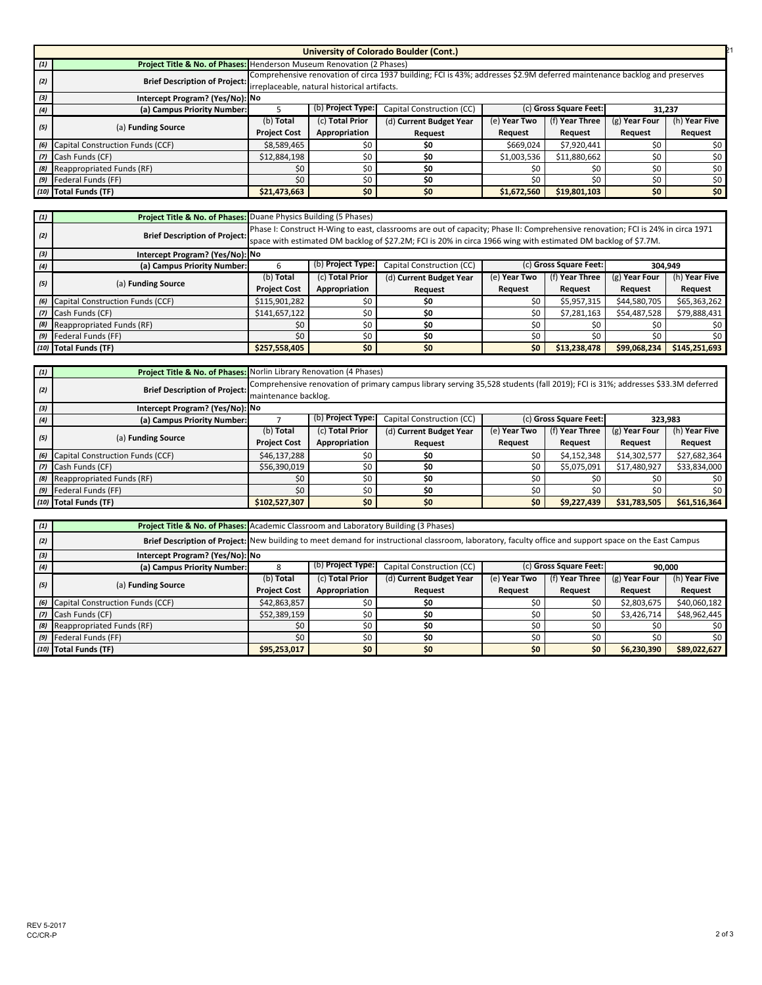|     |                                                                                                                                                                                                                  |                     |                                                                                    | <b>University of Colorado Boulder (Cont.)</b> |              |                |               |               |  |
|-----|------------------------------------------------------------------------------------------------------------------------------------------------------------------------------------------------------------------|---------------------|------------------------------------------------------------------------------------|-----------------------------------------------|--------------|----------------|---------------|---------------|--|
| (1) | Project Title & No. of Phases: Henderson Museum Renovation (2 Phases)                                                                                                                                            |                     |                                                                                    |                                               |              |                |               |               |  |
| (2) | Comprehensive renovation of circa 1937 building; FCI is 43%; addresses \$2.9M deferred maintenance backlog and preserves<br><b>Brief Description of Project:</b><br>irreplaceable, natural historical artifacts. |                     |                                                                                    |                                               |              |                |               |               |  |
| (3) | Intercept Program? (Yes/No): No                                                                                                                                                                                  |                     |                                                                                    |                                               |              |                |               |               |  |
| (4) | (a) Campus Priority Number:                                                                                                                                                                                      |                     | (b) Project Type:<br>Capital Construction (CC)<br>(c) Gross Square Feet:<br>31,237 |                                               |              |                |               |               |  |
|     |                                                                                                                                                                                                                  | (b) Total           | (c) Total Prior                                                                    | (d) Current Budget Year                       | (e) Year Two | (f) Year Three | (g) Year Four | (h) Year Five |  |
| (5) | (a) Funding Source                                                                                                                                                                                               | <b>Project Cost</b> | Appropriation                                                                      | <b>Request</b>                                | Request      | <b>Request</b> | Request       | Request       |  |
|     | (6) Capital Construction Funds (CCF)                                                                                                                                                                             | \$8,589,465         | \$0                                                                                | \$0                                           | \$669,024    | \$7,920,441    | \$0           | \$0           |  |
|     | (7) Cash Funds (CF)                                                                                                                                                                                              | \$12,884,198        | \$0                                                                                | \$0                                           | \$1,003,536  | \$11,880,662   | \$0           | \$0           |  |
|     | (8) Reappropriated Funds (RF)                                                                                                                                                                                    | \$0                 | \$0                                                                                | \$0                                           | \$0          | \$0            | \$0           | \$0           |  |
|     | (9) Federal Funds (FF)                                                                                                                                                                                           | \$0                 | \$0                                                                                | \$0                                           | \$0          | \$0            | \$0           | \$0           |  |
|     | (10) Total Funds (TF)                                                                                                                                                                                            | \$21,473,663        | \$0\$                                                                              | \$0                                           | \$1,672,560  | \$19,801,103   | \$0           | \$0           |  |

| (1) | <b>Project Title &amp; No. of Phases: Duane Physics Building (5 Phases)</b> |                     |                                                                                                                                                                                                                                                   |                           |                |                        |                 |               |  |
|-----|-----------------------------------------------------------------------------|---------------------|---------------------------------------------------------------------------------------------------------------------------------------------------------------------------------------------------------------------------------------------------|---------------------------|----------------|------------------------|-----------------|---------------|--|
| (2) | <b>Brief Description of Project:</b>                                        |                     | Phase I: Construct H-Wing to east, classrooms are out of capacity; Phase II: Comprehensive renovation; FCI is 24% in circa 1971<br>space with estimated DM backlog of \$27.2M; FCI is 20% in circa 1966 wing with estimated DM backlog of \$7.7M. |                           |                |                        |                 |               |  |
| (3) | Intercept Program? (Yes/No): No                                             |                     |                                                                                                                                                                                                                                                   |                           |                |                        |                 |               |  |
| (4) | (a) Campus Priority Number:                                                 |                     | (b) Project Type:                                                                                                                                                                                                                                 | Capital Construction (CC) |                | (c) Gross Square Feet: |                 | 304,949       |  |
|     |                                                                             | (b) <b>Total</b>    | (c) Total Prior                                                                                                                                                                                                                                   | (d) Current Budget Year   | (e) Year Two   | (f) Year Three         | $(g)$ Year Four | (h) Year Five |  |
| (5) | (a) Funding Source                                                          | <b>Project Cost</b> | Appropriation                                                                                                                                                                                                                                     | Request                   | <b>Request</b> | Request                | <b>Request</b>  | Request       |  |
|     | (6) Capital Construction Funds (CCF)                                        | \$115,901,282       | \$0                                                                                                                                                                                                                                               | \$0                       | \$0            | \$5,957,315            | \$44,580,705    | \$65,363,262  |  |
|     | (7) Cash Funds (CF)                                                         | \$141,657,122       | \$0                                                                                                                                                                                                                                               | \$0                       | \$0            | \$7,281,163            | \$54,487,528    | \$79,888,431  |  |
|     | (8) Reappropriated Funds (RF)                                               | \$0                 | \$0                                                                                                                                                                                                                                               | \$0                       | \$0            | \$0                    | \$0             | \$0           |  |
|     | (9) Federal Funds (FF)                                                      | \$0                 | \$0                                                                                                                                                                                                                                               | \$0                       | \$0            | \$0                    | \$0             | \$0\$         |  |
|     | (10) Total Funds (TF)                                                       | \$257,558,405       | \$0\$                                                                                                                                                                                                                                             | \$0                       | \$0            | \$13,238,478           | \$99,068,234    | \$145,251,693 |  |

| (1) | <b>Project Title &amp; No. of Phases:</b> Norlin Library Renovation (4 Phases) |                      |                   |                                                                                                                                |              |                        |                 |               |  |
|-----|--------------------------------------------------------------------------------|----------------------|-------------------|--------------------------------------------------------------------------------------------------------------------------------|--------------|------------------------|-----------------|---------------|--|
| (2) | <b>Brief Description of Project:</b>                                           | maintenance backlog. |                   | Comprehensive renovation of primary campus library serving 35,528 students (fall 2019); FCI is 31%; addresses \$33.3M deferred |              |                        |                 |               |  |
| (3) | Intercept Program? (Yes/No): No                                                |                      |                   |                                                                                                                                |              |                        |                 |               |  |
| (4) | (a) Campus Priority Number:                                                    |                      | (b) Project Type: | Capital Construction (CC)                                                                                                      |              | (c) Gross Square Feet: | 323.983         |               |  |
| (5) |                                                                                | (b) Total            | (c) Total Prior   | (d) Current Budget Year                                                                                                        | (e) Year Two | (f) Year Three         | $(g)$ Year Four | (h) Year Five |  |
|     | (a) Funding Source                                                             | <b>Project Cost</b>  | Appropriation     | <b>Request</b>                                                                                                                 | Request      | Request                | Request         | Request       |  |
|     | (6) Capital Construction Funds (CCF)                                           | \$46,137,288         | \$0               | \$0                                                                                                                            | \$0          | \$4,152,348            | \$14,302,577    | \$27,682,364  |  |
|     | (7) Cash Funds (CF)                                                            | \$56,390,019         | \$0\$             | \$0                                                                                                                            | \$0          | \$5,075,091            | \$17,480,927    | \$33,834,000  |  |
|     | (8) Reappropriated Funds (RF)                                                  | \$0                  | \$0               | \$0                                                                                                                            | \$0          | \$0                    | \$0             | \$0           |  |
|     | (9) Federal Funds (FF)                                                         | \$0                  | \$0               | \$0                                                                                                                            | \$0          |                        | \$0             | \$0           |  |
|     | (10) Total Funds (TF)                                                          | \$102,527,307        | \$0               | \$0                                                                                                                            | \$0          | \$9,227,439            | \$31,783,505    | \$61,516,364  |  |

| (1) | Project Title & No. of Phases: Academic Classroom and Laboratory Building (3 Phases) |                     |                                                                                                                                                        |                         |              |                |                 |               |  |
|-----|--------------------------------------------------------------------------------------|---------------------|--------------------------------------------------------------------------------------------------------------------------------------------------------|-------------------------|--------------|----------------|-----------------|---------------|--|
| (2) |                                                                                      |                     | Brief Description of Project: New building to meet demand for instructional classroom, laboratory, faculty office and support space on the East Campus |                         |              |                |                 |               |  |
| (3) | Intercept Program? (Yes/No): No                                                      |                     |                                                                                                                                                        |                         |              |                |                 |               |  |
| (4) | (a) Campus Priority Number:                                                          |                     | (b) Project Type:<br>Capital Construction (CC)<br>(c) Gross Square Feet:<br>90,000                                                                     |                         |              |                |                 |               |  |
|     |                                                                                      | (b) <b>Total</b>    | (c) Total Prior                                                                                                                                        | (d) Current Budget Year | (e) Year Two | (f) Year Three | $(g)$ Year Four | (h) Year Five |  |
| (5) | (a) Funding Source                                                                   | <b>Project Cost</b> | Appropriation                                                                                                                                          | <b>Request</b>          | Request      | Request        | Request         | Request       |  |
|     | (6) Capital Construction Funds (CCF)                                                 | \$42,863,857        | \$0                                                                                                                                                    | \$0                     | \$0          | \$0            | \$2,803,675     | \$40,060,182  |  |
|     | (7) Cash Funds (CF)                                                                  | \$52,389,159        | \$0                                                                                                                                                    | \$0                     | \$0          | \$0            | \$3,426,714     | \$48,962,445  |  |
|     | (8) Reappropriated Funds (RF)                                                        | \$0                 | \$0                                                                                                                                                    | \$0                     | \$0          | \$0            | \$0             | \$0           |  |
|     | (9) Federal Funds (FF)                                                               | \$0                 | \$0                                                                                                                                                    | \$0                     | \$0          | \$0            | \$0             | \$0           |  |
|     | (10) Total Funds (TF)                                                                | \$95,253,017        | \$0\$                                                                                                                                                  | \$0                     | \$0\$        | \$0            | \$6,230,390     | \$89,022,627  |  |